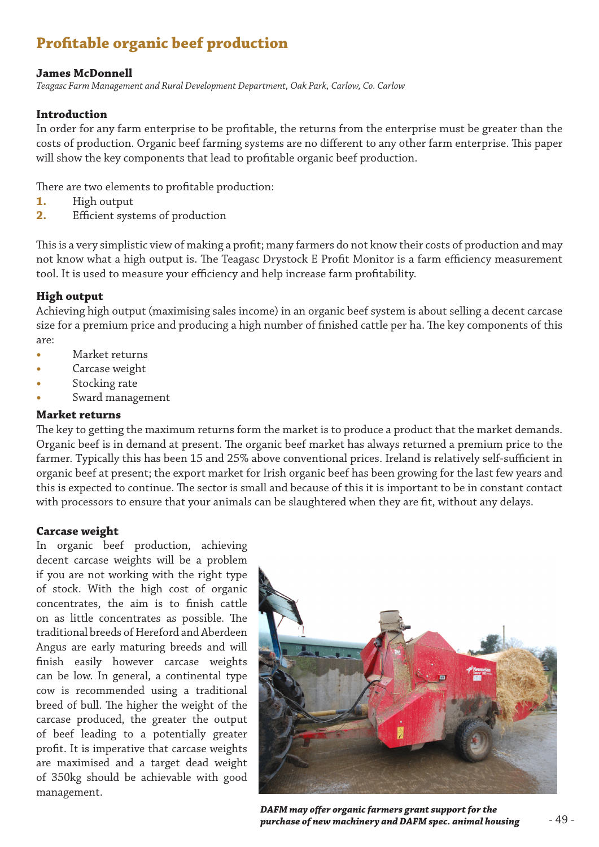# **Profitable organic beef production**

# **James McDonnell**

*Teagasc Farm Management and Rural Development Department, Oak Park, Carlow, Co. Carlow* 

# **Introduction**

In order for any farm enterprise to be profitable, the returns from the enterprise must be greater than the costs of production. Organic beef farming systems are no different to any other farm enterprise. This paper will show the key components that lead to profitable organic beef production.

There are two elements to profitable production:

- **1.** High output
- **2.** Efficient systems of production

This is a very simplistic view of making a profit; many farmers do not know their costs of production and may not know what a high output is. The Teagasc Drystock E Profit Monitor is a farm efficiency measurement tool. It is used to measure your efficiency and help increase farm profitability.

#### **High output**

Achieving high output (maximising sales income) in an organic beef system is about selling a decent carcase size for a premium price and producing a high number of finished cattle per ha. The key components of this are:

- **Market returns**
- Carcase weight
- **Stocking** rate
- **Sward management**

#### **Market returns**

The key to getting the maximum returns form the market is to produce a product that the market demands. Organic beef is in demand at present. The organic beef market has always returned a premium price to the farmer. Typically this has been 15 and 25% above conventional prices. Ireland is relatively self-sufficient in organic beef at present; the export market for Irish organic beef has been growing for the last few years and this is expected to continue. The sector is small and because of this it is important to be in constant contact with processors to ensure that your animals can be slaughtered when they are fit, without any delays.

#### **Carcase weight**

In organic beef production, achieving decent carcase weights will be a problem if you are not working with the right type of stock. With the high cost of organic concentrates, the aim is to finish cattle on as little concentrates as possible. The traditional breeds of Hereford and Aberdeen Angus are early maturing breeds and will finish easily however carcase weights can be low. In general, a continental type cow is recommended using a traditional breed of bull. The higher the weight of the carcase produced, the greater the output of beef leading to a potentially greater profit. It is imperative that carcase weights are maximised and a target dead weight of 350kg should be achievable with good management.



*DAFM may offer organic farmers grant support for the purchase of new machinery and DAFM spec. animal housing*